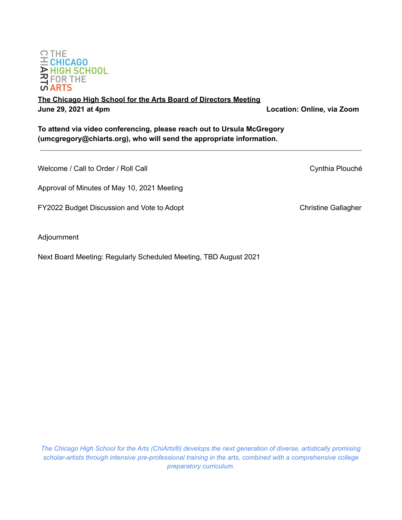

 $\Omega$  THE  $E$  CHICAGO **DOMINION**<br>**A HIGH SCHOOL**<br>**CONTINE**<br>**CONTINE** 

# **The Chicago High School for the Arts Board of Directors Meeting June 29, 2021 at 4pm Location: Online, via Zoom**

**To attend via video conferencing, please reach out to Ursula McGregory (umcgregory@chiarts.org), who will send the appropriate information.**

Welcome / Call to Order / Roll Call Cynthia Plouché

Approval of Minutes of May 10, 2021 Meeting

FY2022 Budget Discussion and Vote to Adopt Christine Gallagher Christine Gallagher

Adjournment

Next Board Meeting: Regularly Scheduled Meeting, TBD August 2021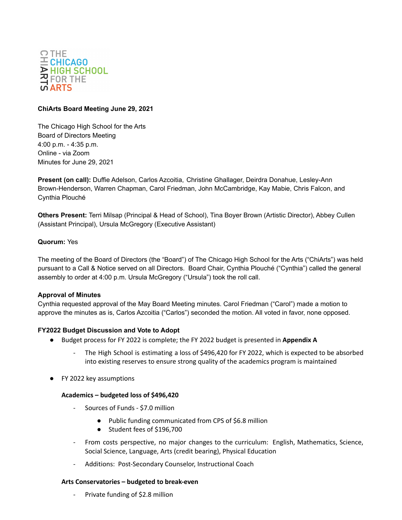

# **ChiArts Board Meeting June 29, 2021**

The Chicago High School for the Arts Board of Directors Meeting 4:00 p.m. - 4:35 p.m. Online - via Zoom Minutes for June 29, 2021

**Present (on call):** Duffie Adelson, Carlos Azcoitia, Christine Ghallager, Deirdra Donahue, Lesley-Ann Brown-Henderson, Warren Chapman, Carol Friedman, John McCambridge, Kay Mabie, Chris Falcon, and Cynthia Plouché

**Others Present:** Terri Milsap (Principal & Head of School), Tina Boyer Brown (Artistic Director), Abbey Cullen (Assistant Principal), Ursula McGregory (Executive Assistant)

# **Quorum:** Yes

The meeting of the Board of Directors (the "Board") of The Chicago High School for the Arts ("ChiArts") was held pursuant to a Call & Notice served on all Directors. Board Chair, Cynthia Plouché ("Cynthia") called the general assembly to order at 4:00 p.m. Ursula McGregory ("Ursula") took the roll call.

#### **Approval of Minutes**

Cynthia requested approval of the May Board Meeting minutes. Carol Friedman ("Carol") made a motion to approve the minutes as is, Carlos Azcoitia ("Carlos") seconded the motion. All voted in favor, none opposed.

#### **FY2022 Budget Discussion and Vote to Adopt**

- Budget process for FY 2022 is complete; the FY 2022 budget is presented in **Appendix A**
	- The High School is estimating a loss of \$496,420 for FY 2022, which is expected to be absorbed into existing reserves to ensure strong quality of the academics program is maintained
- FY 2022 key assumptions

#### **Academics – budgeted loss of \$496,420**

- Sources of Funds \$7.0 million
	- Public funding communicated from CPS of \$6.8 million
	- Student fees of \$196,700
- From costs perspective, no major changes to the curriculum: English, Mathematics, Science, Social Science, Language, Arts (credit bearing), Physical Education
- Additions: Post-Secondary Counselor, Instructional Coach

#### **Arts Conservatories – budgeted to break-even**

Private funding of \$2.8 million